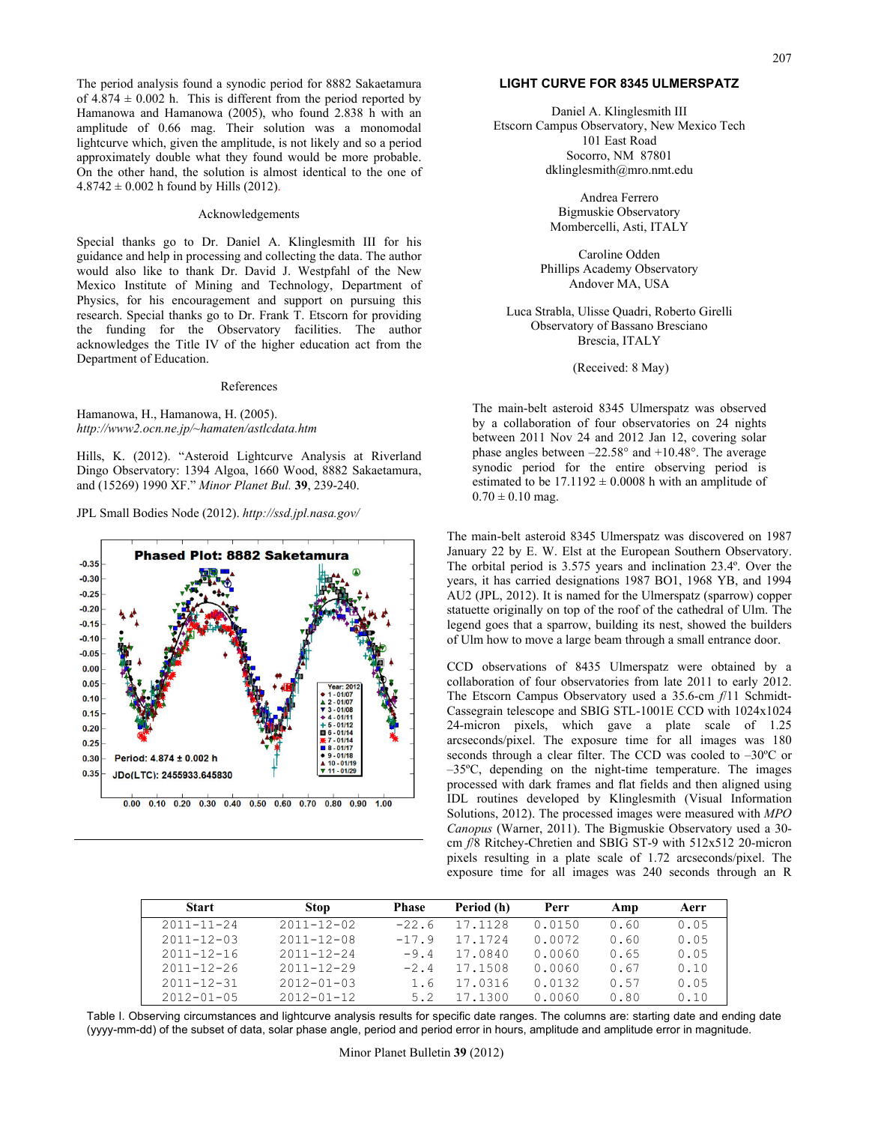The period analysis found a synodic period for 8882 Sakaetamura of  $4.874 \pm 0.002$  h. This is different from the period reported by Hamanowa and Hamanowa (2005), who found 2.838 h with an amplitude of 0.66 mag. Their solution was a monomodal lightcurve which, given the amplitude, is not likely and so a period approximately double what they found would be more probable. On the other hand, the solution is almost identical to the one of  $4.8742 \pm 0.002$  h found by Hills (2012).

# Acknowledgements

Special thanks go to Dr. Daniel A. Klinglesmith III for his guidance and help in processing and collecting the data. The author would also like to thank Dr. David J. Westpfahl of the New Mexico Institute of Mining and Technology, Department of Physics, for his encouragement and support on pursuing this research. Special thanks go to Dr. Frank T. Etscorn for providing the funding for the Observatory facilities. The author acknowledges the Title IV of the higher education act from the Department of Education.

### References

# Hamanowa, H., Hamanowa, H. (2005). *http://www2.ocn.ne.jp/~hamaten/astlcdata.htm*

Hills, K. (2012). "Asteroid Lightcurve Analysis at Riverland Dingo Observatory: 1394 Algoa, 1660 Wood, 8882 Sakaetamura, and (15269) 1990 XF." *Minor Planet Bul.* **39**, 239-240.

JPL Small Bodies Node (2012). *http://ssd.jpl.nasa.gov/* 

#### **Phased Plot: 8882 Saketamura**  $-0.35$  $-0.30$  $-0.25$  $-0.20$  $-0.15$  $-0.10$  $-0.05$  $0.00$  $0.05$  $0.10$  $01/07$  $01/08$  $0.15$  $01/11$  $-01/12$  $0.20$  $+ 5 - 01/12$ <br> $- 6 - 01/14$  $01/14$  $0.25$  $-01/17$  $01/18$  $0.30$ Period: 4.874 ± 0.002 h  $01/1$  $0.35$ JDo(LTC): 2455933.645830  $0.00$   $0.10$   $0.20$   $0.30$   $0.40$   $0.50$   $0.60$   $0.70$   $0.80$   $0.90$   $1.00$

# **LIGHT CURVE FOR 8345 ULMERSPATZ**

Daniel A. Klinglesmith III Etscorn Campus Observatory, New Mexico Tech 101 East Road Socorro, NM 87801 dklinglesmith@mro.nmt.edu

> Andrea Ferrero Bigmuskie Observatory Mombercelli, Asti, ITALY

Caroline Odden Phillips Academy Observatory Andover MA, USA

Luca Strabla, Ulisse Quadri, Roberto Girelli Observatory of Bassano Bresciano Brescia, ITALY

(Received: 8 May)

The main-belt asteroid 8345 Ulmerspatz was observed by a collaboration of four observatories on 24 nights between 2011 Nov 24 and 2012 Jan 12, covering solar phase angles between –22.58° and +10.48°. The average synodic period for the entire observing period is estimated to be  $17.1192 \pm 0.0008$  h with an amplitude of  $0.70 \pm 0.10$  mag.

The main-belt asteroid 8345 Ulmerspatz was discovered on 1987 January 22 by E. W. Elst at the European Southern Observatory. The orbital period is 3.575 years and inclination 23.4º. Over the years, it has carried designations 1987 BO1, 1968 YB, and 1994 AU2 (JPL, 2012). It is named for the Ulmerspatz (sparrow) copper statuette originally on top of the roof of the cathedral of Ulm. The legend goes that a sparrow, building its nest, showed the builders of Ulm how to move a large beam through a small entrance door.

CCD observations of 8435 Ulmerspatz were obtained by a collaboration of four observatories from late 2011 to early 2012. The Etscorn Campus Observatory used a 35.6-cm *f*/11 Schmidt-Cassegrain telescope and SBIG STL-1001E CCD with 1024x1024 24-micron pixels, which gave a plate scale of 1.25 arcseconds/pixel. The exposure time for all images was 180 seconds through a clear filter. The CCD was cooled to –30ºC or –35ºC, depending on the night-time temperature. The images processed with dark frames and flat fields and then aligned using IDL routines developed by Klinglesmith (Visual Information Solutions, 2012). The processed images were measured with *MPO Canopus* (Warner, 2011). The Bigmuskie Observatory used a 30 cm *f*/8 Ritchey-Chretien and SBIG ST-9 with 512x512 20-micron pixels resulting in a plate scale of 1.72 arcseconds/pixel. The exposure time for all images was 240 seconds through an R

| <b>Start</b>     | <b>Stop</b>      | <b>Phase</b> | Period (h) | Perr   | Amp  | Aerr |
|------------------|------------------|--------------|------------|--------|------|------|
| $2011 - 11 - 24$ | $2011 - 12 - 02$ | $-22.6$      | 17.1128    | 0.0150 | 0.60 | 0.05 |
| $2011 - 12 - 03$ | $2011 - 12 - 08$ | $-17.9$      | 17.1724    | 0.0072 | 0.60 | 0.05 |
| $2011 - 12 - 16$ | $2011 - 12 - 24$ | $-9.4$       | 17.0840    | 0.0060 | 0.65 | 0.05 |
| $2011 - 12 - 26$ | $2011 - 12 - 29$ | $-2.4$       | 17.1508    | 0.0060 | 0.67 | 0.10 |
| $2011 - 12 - 31$ | $2012 - 01 - 03$ | 1.6          | 17.0316    | 0.0132 | 0.57 | 0.05 |
| $2012 - 01 - 05$ | $2012 - 01 - 12$ | 5.2          | 17.1300    | 0.0060 | 0.80 | 0.10 |

Table I. Observing circumstances and lightcurve analysis results for specific date ranges. The columns are: starting date and ending date (yyyy-mm-dd) of the subset of data, solar phase angle, period and period error in hours, amplitude and amplitude error in magnitude.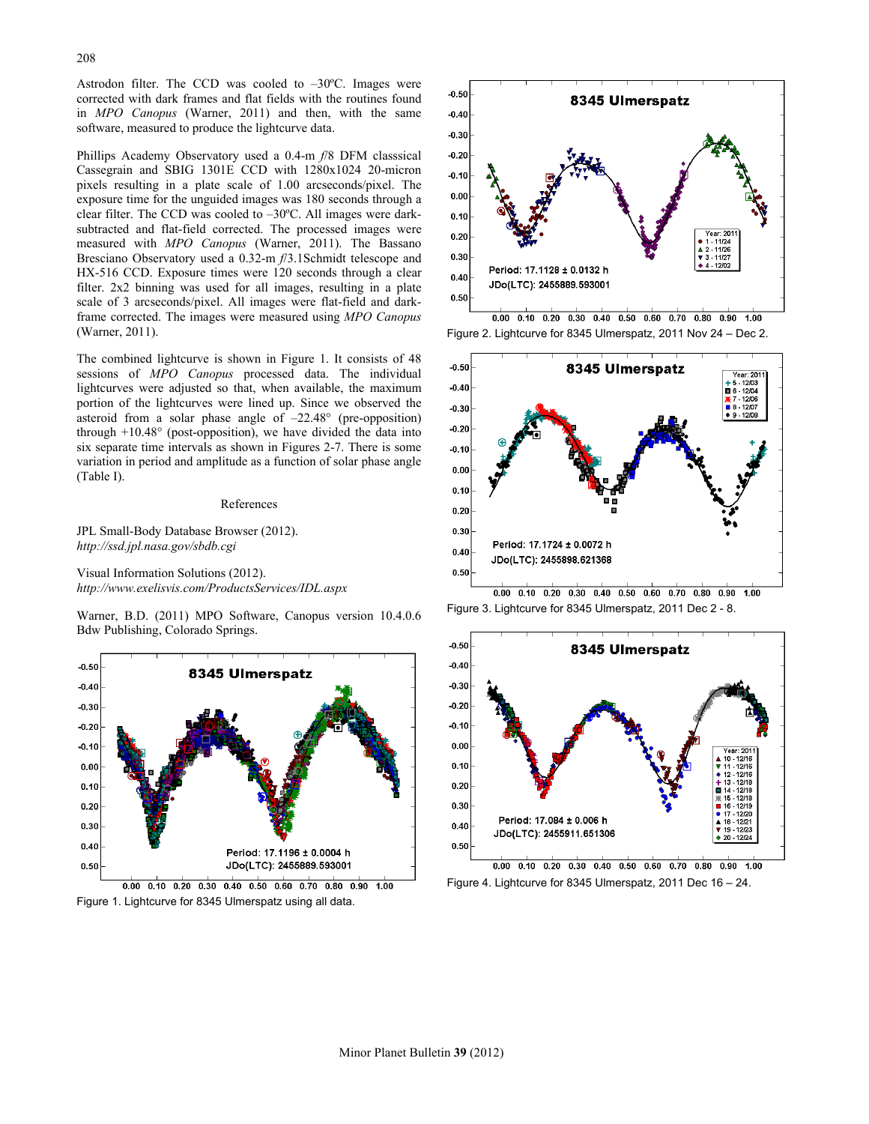Astrodon filter. The CCD was cooled to –30ºC. Images were corrected with dark frames and flat fields with the routines found in *MPO Canopus* (Warner, 2011) and then, with the same software, measured to produce the lightcurve data.

Phillips Academy Observatory used a 0.4-m *f*/8 DFM classsical Cassegrain and SBIG 1301E CCD with 1280x1024 20-micron pixels resulting in a plate scale of 1.00 arcseconds/pixel. The exposure time for the unguided images was 180 seconds through a clear filter. The CCD was cooled to –30ºC. All images were darksubtracted and flat-field corrected. The processed images were measured with *MPO Canopus* (Warner, 2011). The Bassano Bresciano Observatory used a 0.32-m *f*/3.1Schmidt telescope and HX-516 CCD. Exposure times were 120 seconds through a clear filter. 2x2 binning was used for all images, resulting in a plate scale of 3 arcseconds/pixel. All images were flat-field and darkframe corrected. The images were measured using *MPO Canopus* (Warner, 2011).

The combined lightcurve is shown in Figure 1. It consists of 48 sessions of *MPO Canopus* processed data. The individual lightcurves were adjusted so that, when available, the maximum portion of the lightcurves were lined up. Since we observed the asteroid from a solar phase angle of –22.48° (pre-opposition) through +10.48° (post-opposition), we have divided the data into six separate time intervals as shown in Figures 2-7. There is some variation in period and amplitude as a function of solar phase angle (Table I).

#### References

JPL Small-Body Database Browser (2012). *http://ssd.jpl.nasa.gov/sbdb.cgi*

Visual Information Solutions (2012). *http://www.exelisvis.com/ProductsServices/IDL.aspx*

Warner, B.D. (2011) MPO Software, Canopus version 10.4.0.6 Bdw Publishing, Colorado Springs.



Figure 1. Lightcurve for 8345 Ulmerspatz using all data.



 $0.00$   $0.10$   $0.20$   $0.30$   $0.40$   $0.50$   $0.60$   $0.70$   $0.80$   $0.90$   $1.00$ Figure 2. Lightcurve for 8345 Ulmerspatz, 2011 Nov 24 – Dec 2.



 $0.00$   $0.10$   $0.20$   $0.30$   $0.40$   $0.50$   $0.60$   $0.70$   $0.80$   $0.90$   $1.00$ Figure 3. Lightcurve for 8345 Ulmerspatz, 2011 Dec 2 - 8.



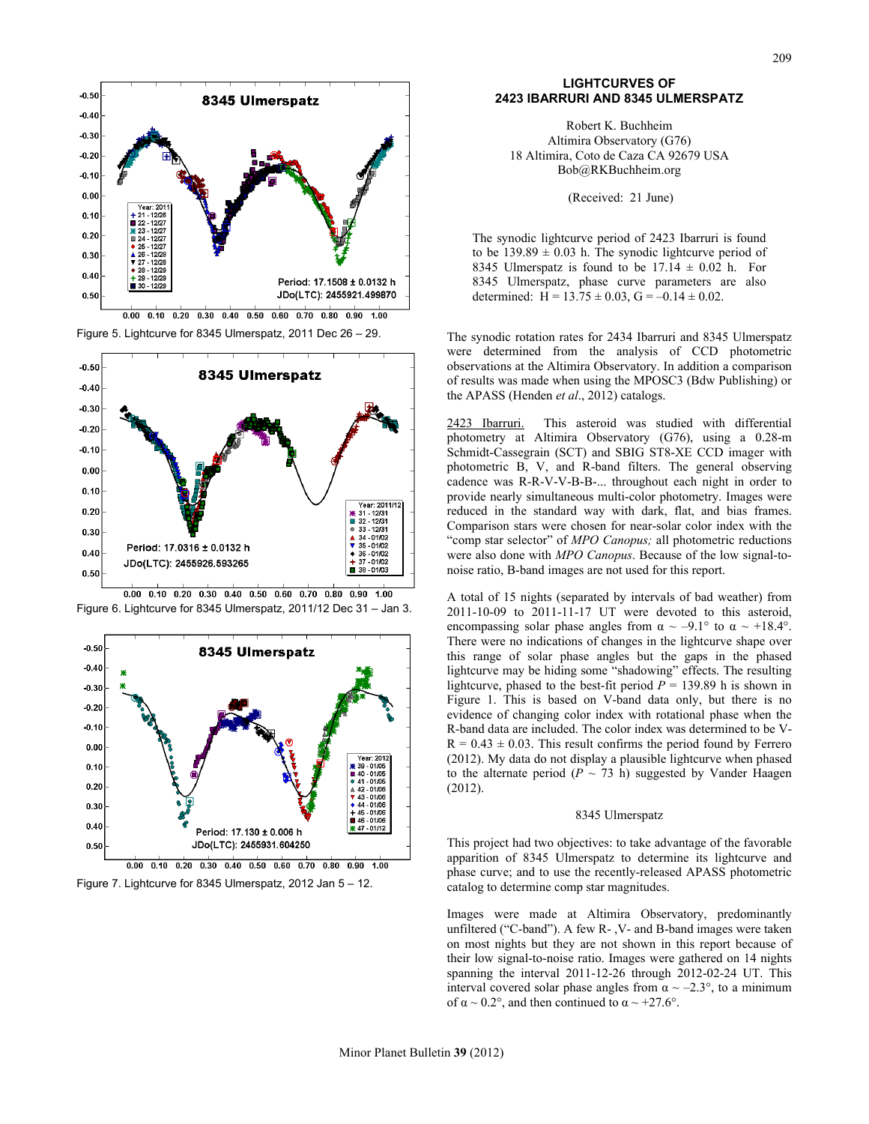

 $0.00$   $0.10$   $0.20$   $0.30$   $0.40$   $0.50$   $0.60$   $0.70$   $0.80$   $0.90$   $1.00$ Figure 5. Lightcurve for 8345 Ulmerspatz, 2011 Dec 26 – 29.





Figure 6. Lightcurve for 8345 Ulmerspatz, 2011/12 Dec 31 – Jan 3.

Figure 7. Lightcurve for 8345 Ulmerspatz, 2012 Jan 5 – 12.

## **LIGHTCURVES OF 2423 IBARRURI AND 8345 ULMERSPATZ**

Robert K. Buchheim Altimira Observatory (G76) 18 Altimira, Coto de Caza CA 92679 USA Bob@RKBuchheim.org

(Received: 21 June)

The synodic lightcurve period of 2423 Ibarruri is found to be  $139.89 \pm 0.03$  h. The synodic lightcurve period of 8345 Ulmerspatz is found to be  $17.14 \pm 0.02$  h. For 8345 Ulmerspatz, phase curve parameters are also determined:  $H = 13.75 \pm 0.03$ ,  $G = -0.14 \pm 0.02$ .

The synodic rotation rates for 2434 Ibarruri and 8345 Ulmerspatz were determined from the analysis of CCD photometric observations at the Altimira Observatory. In addition a comparison of results was made when using the MPOSC3 (Bdw Publishing) or the APASS (Henden *et al*., 2012) catalogs.

2423 Ibarruri. This asteroid was studied with differential photometry at Altimira Observatory (G76), using a 0.28-m Schmidt-Cassegrain (SCT) and SBIG ST8-XE CCD imager with photometric B, V, and R-band filters. The general observing cadence was R-R-V-V-B-B-... throughout each night in order to provide nearly simultaneous multi-color photometry. Images were reduced in the standard way with dark, flat, and bias frames. Comparison stars were chosen for near-solar color index with the "comp star selector" of *MPO Canopus;* all photometric reductions were also done with *MPO Canopus*. Because of the low signal-tonoise ratio, B-band images are not used for this report.

A total of 15 nights (separated by intervals of bad weather) from 2011-10-09 to 2011-11-17 UT were devoted to this asteroid, encompassing solar phase angles from  $\alpha \sim -9.1^{\circ}$  to  $\alpha \sim +18.4^{\circ}$ . There were no indications of changes in the lightcurve shape over this range of solar phase angles but the gaps in the phased lightcurve may be hiding some "shadowing" effects. The resulting lightcurve, phased to the best-fit period  $P = 139.89$  h is shown in Figure 1. This is based on V-band data only, but there is no evidence of changing color index with rotational phase when the R-band data are included. The color index was determined to be V- $R = 0.43 \pm 0.03$ . This result confirms the period found by Ferrero (2012). My data do not display a plausible lightcurve when phased to the alternate period ( $P \sim 73$  h) suggested by Vander Haagen (2012).

#### 8345 Ulmerspatz

This project had two objectives: to take advantage of the favorable apparition of 8345 Ulmerspatz to determine its lightcurve and phase curve; and to use the recently-released APASS photometric catalog to determine comp star magnitudes.

Images were made at Altimira Observatory, predominantly unfiltered ("C-band"). A few R- ,V- and B-band images were taken on most nights but they are not shown in this report because of their low signal-to-noise ratio. Images were gathered on 14 nights spanning the interval 2011-12-26 through 2012-02-24 UT. This interval covered solar phase angles from  $\alpha \sim -2.3^{\circ}$ , to a minimum of  $\alpha \sim 0.2^{\circ}$ , and then continued to  $\alpha \sim +27.6^{\circ}$ .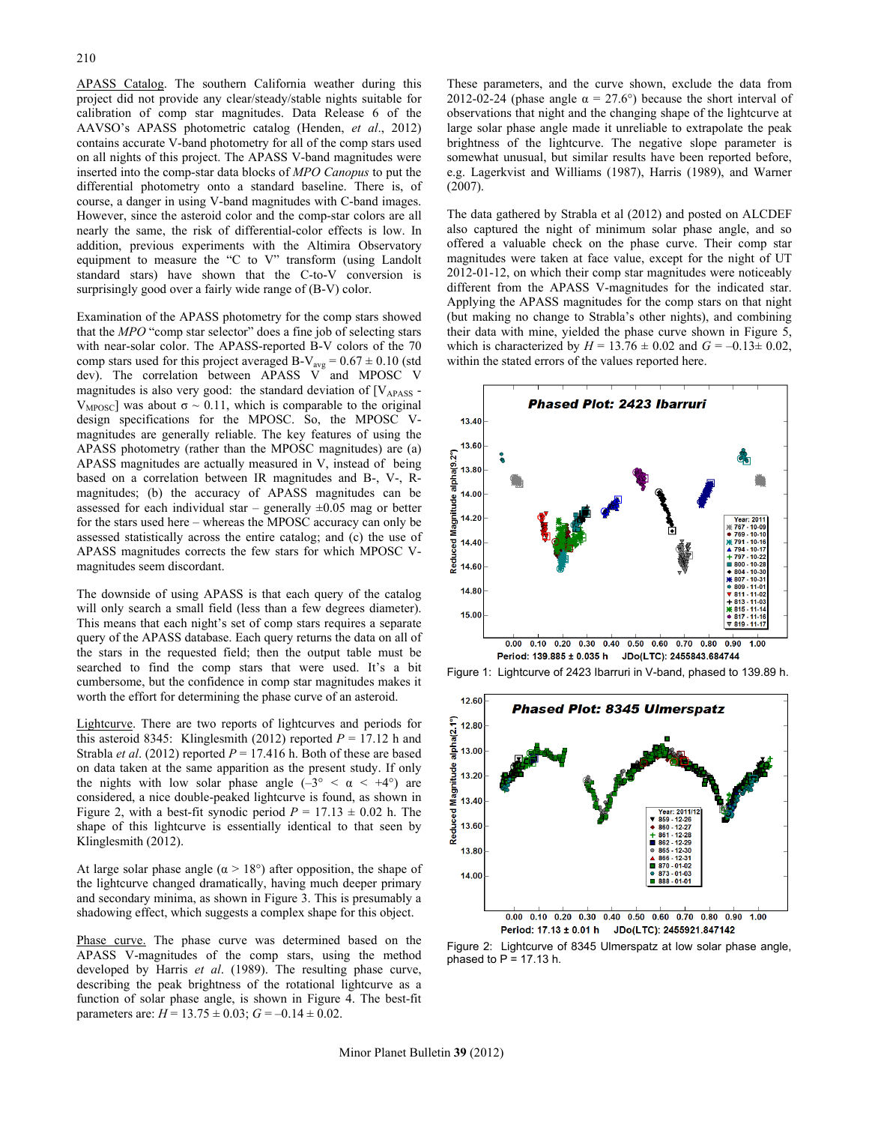APASS Catalog. The southern California weather during this project did not provide any clear/steady/stable nights suitable for calibration of comp star magnitudes. Data Release 6 of the AAVSO's APASS photometric catalog (Henden, *et al*., 2012) contains accurate V-band photometry for all of the comp stars used on all nights of this project. The APASS V-band magnitudes were inserted into the comp-star data blocks of *MPO Canopus* to put the differential photometry onto a standard baseline. There is, of course, a danger in using V-band magnitudes with C-band images. However, since the asteroid color and the comp-star colors are all nearly the same, the risk of differential-color effects is low. In addition, previous experiments with the Altimira Observatory equipment to measure the "C to V" transform (using Landolt standard stars) have shown that the C-to-V conversion is surprisingly good over a fairly wide range of (B-V) color.

Examination of the APASS photometry for the comp stars showed that the *MPO* "comp star selector" does a fine job of selecting stars with near-solar color. The APASS-reported B-V colors of the 70 comp stars used for this project averaged B-V<sub>avg</sub> =  $0.67 \pm 0.10$  (std dev). The correlation between APASS V and MPOSC V magnitudes is also very good: the standard deviation of  $[V_{APASS}$  -V<sub>MPOSC</sub>] was about  $σ \sim 0.11$ , which is comparable to the original design specifications for the MPOSC. So, the MPOSC Vmagnitudes are generally reliable. The key features of using the APASS photometry (rather than the MPOSC magnitudes) are (a) APASS magnitudes are actually measured in V, instead of being based on a correlation between IR magnitudes and B-, V-, Rmagnitudes; (b) the accuracy of APASS magnitudes can be assessed for each individual star – generally  $\pm 0.05$  mag or better for the stars used here – whereas the MPOSC accuracy can only be assessed statistically across the entire catalog; and (c) the use of APASS magnitudes corrects the few stars for which MPOSC Vmagnitudes seem discordant.

The downside of using APASS is that each query of the catalog will only search a small field (less than a few degrees diameter). This means that each night's set of comp stars requires a separate query of the APASS database. Each query returns the data on all of the stars in the requested field; then the output table must be searched to find the comp stars that were used. It's a bit cumbersome, but the confidence in comp star magnitudes makes it worth the effort for determining the phase curve of an asteroid.

Lightcurve. There are two reports of lightcurves and periods for this asteroid 8345: Klinglesmith (2012) reported  $P = 17.12$  h and Strabla *et al.* (2012) reported  $P = 17.416$  h. Both of these are based on data taken at the same apparition as the present study. If only the nights with low solar phase angle  $(-3^{\circ} < \alpha < +4^{\circ})$  are considered, a nice double-peaked lightcurve is found, as shown in Figure 2, with a best-fit synodic period  $P = 17.13 \pm 0.02$  h. The shape of this lightcurve is essentially identical to that seen by Klinglesmith (2012).

At large solar phase angle ( $\alpha > 18^{\circ}$ ) after opposition, the shape of the lightcurve changed dramatically, having much deeper primary and secondary minima, as shown in Figure 3. This is presumably a shadowing effect, which suggests a complex shape for this object.

Phase curve. The phase curve was determined based on the APASS V-magnitudes of the comp stars, using the method developed by Harris *et al*. (1989). The resulting phase curve, describing the peak brightness of the rotational lightcurve as a function of solar phase angle, is shown in Figure 4. The best-fit parameters are:  $H = 13.75 \pm 0.03$ ;  $G = -0.14 \pm 0.02$ .

These parameters, and the curve shown, exclude the data from 2012-02-24 (phase angle  $\alpha = 27.6^{\circ}$ ) because the short interval of observations that night and the changing shape of the lightcurve at large solar phase angle made it unreliable to extrapolate the peak brightness of the lightcurve. The negative slope parameter is somewhat unusual, but similar results have been reported before, e.g. Lagerkvist and Williams (1987), Harris (1989), and Warner (2007).

The data gathered by Strabla et al (2012) and posted on ALCDEF also captured the night of minimum solar phase angle, and so offered a valuable check on the phase curve. Their comp star magnitudes were taken at face value, except for the night of UT 2012-01-12, on which their comp star magnitudes were noticeably different from the APASS V-magnitudes for the indicated star. Applying the APASS magnitudes for the comp stars on that night (but making no change to Strabla's other nights), and combining their data with mine, yielded the phase curve shown in Figure 5, which is characterized by  $H = 13.76 \pm 0.02$  and  $G = -0.13 \pm 0.02$ , within the stated errors of the values reported here.



Figure 1: Lightcurve of 2423 Ibarruri in V-band, phased to 139.89 h.



Figure 2: Lightcurve of 8345 Ulmerspatz at low solar phase angle, phased to  $P = 17.13$  h.